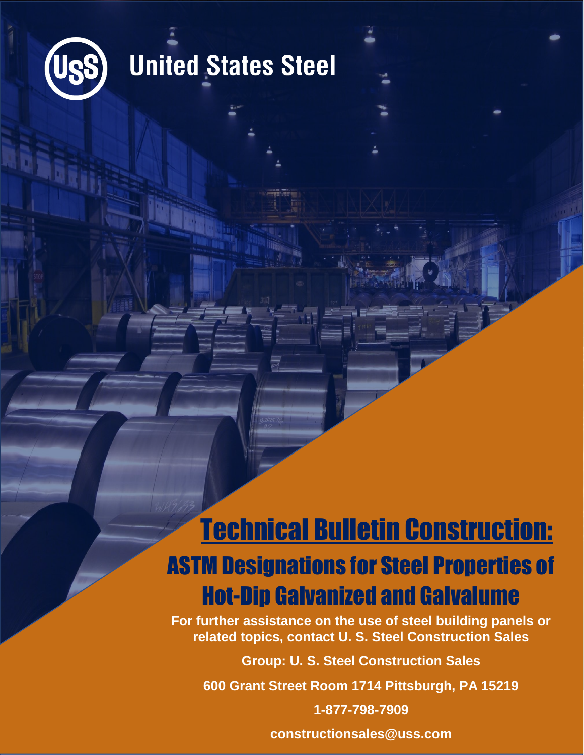

# **United States Steel**

## Technical Bulletin Construction: ASTM Designations for Steel Properties of Hot-Dip Galvanized and Galvalume

**For further assistance on the use of steel building panels or related topics, contact U. S. Steel Construction Sales**

**Group: U. S. Steel Construction Sales**

**600 Grant Street Room 1714 Pittsburgh, PA 15219**

**1-877-798-7909**

**constructionsales@uss.com**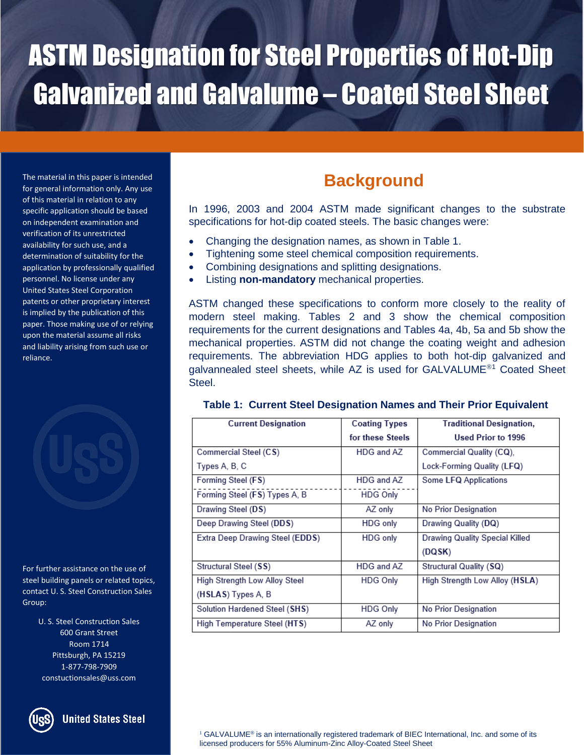The material in this paper is intended for general information only. Any use of this material in relation to any specific application should be based on independent examination and verification of its unrestricted availability for such use, and a determination of suitability for the application by professionally qualified personnel. No license under any United States Steel Corporation patents or other proprietary interest is implied by the publication of this paper. Those making use of or relying upon the material assume all risks and liability arising from such use or reliance.



For further assistance on the use of steel building panels or related topics, contact U. S. Steel Construction Sales Group:

> U. S. Steel Construction Sales 600 Grant Street Room 1714 Pittsburgh, PA 15219 1-877-798-7909 constuctionsales@uss.com



**United States Steel** 

## **Background**

In 1996, 2003 and 2004 ASTM made significant changes to the substrate specifications for hot-dip coated steels. The basic changes were:

- Changing the designation names, as shown in Table 1.
- Tightening some steel chemical composition requirements.
- Combining designations and splitting designations.
	- Listing **non-mandatory** mechanical properties.

ASTM changed these specifications to conform more closely to the reality of modern steel making. Tables 2 and 3 show the chemical composition requirements for the current designations and Tables 4a, 4b, 5a and 5b show the mechanical properties. ASTM did not change the coating weight and adhesion requirements. The abbreviation HDG applies to both hot-dip galvanized and galvannealed steel sheets, while AZ is used for GALVALUME<sup>®1</sup> Coated Sheet Steel.

| <b>Current Designation</b>           | <b>Coating Types</b> | <b>Traditional Designation,</b> |
|--------------------------------------|----------------------|---------------------------------|
|                                      | for these Steels     | Used Prior to 1996              |
| Commercial Steel (CS)                | HDG and AZ           | Commercial Quality (CQ),        |
| Types A, B, C                        |                      | Lock-Forming Quality (LFQ)      |
| Forming Steel (FS)                   | HDG and AZ           | Some LFQ Applications           |
| Forming Steel (FS) Types A, B        | <b>HDG Only</b>      |                                 |
| Drawing Steel (DS)                   | AZ only              | No Prior Designation            |
| Deep Drawing Steel (DDS)             | HDG only             | Drawing Quality (DQ)            |
| Extra Deep Drawing Steel (EDDS)      | HDG only             | Drawing Quality Special Killed  |
|                                      |                      | (DQSK)                          |
| Structural Steel (SS)                | HDG and AZ           | Structural Quality (SQ)         |
| <b>High Strength Low Alloy Steel</b> | <b>HDG Only</b>      | High Strength Low Alloy (HSLA)  |
| (HSLAS) Types A, B                   |                      |                                 |
| Solution Hardened Steel (SHS)        | <b>HDG Only</b>      | No Prior Designation            |
| High Temperature Steel (HTS)         | AZ only              | No Prior Designation            |

### **Table 1: Current Steel Designation Names and Their Prior Equivalent**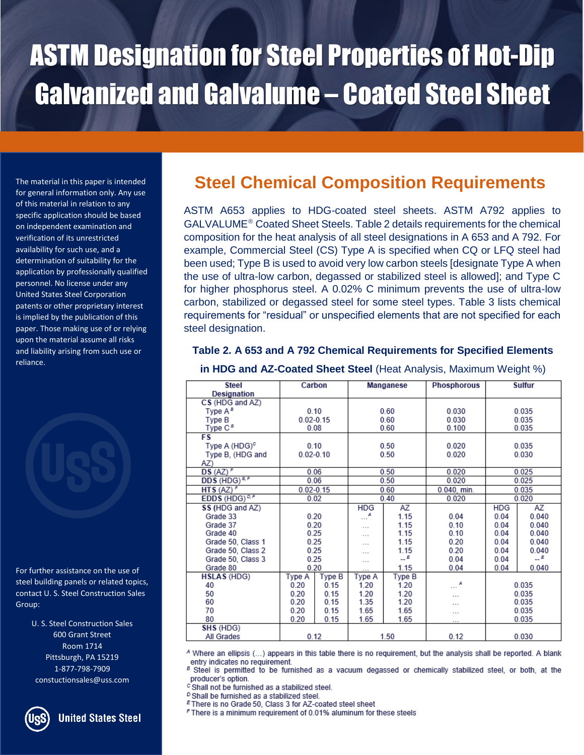of this material in relation to any specific application should be based on independent examination and verification of its unrestricted availability for such use, and a determination of suitability for the application by professionally qualified personnel. No license under any United States Steel Corporation patents or other proprietary interest is implied by the publication of this paper. Those making use of or relying upon the material assume all risks and liability arising from such use or reliance.

For further assistance on the use of steel building panels or related topics, contact U. S. Steel Construction Sales Group:

> U. S. Steel Construction Sales 600 Grant Street Room 1714 Pittsburgh, PA 15219 1-877-798-7909 constuctionsales@uss.com

**United States Steel** 

## The material in this paper is intended **Steel Chemical Composition Requirements** for general information only. Any use

ASTM A653 applies to HDG-coated steel sheets. ASTM A792 applies to  $GALVALUME<sup>®</sup> Coated Sheet Steels. Table 2 details requiring the required$ composition for the heat analysis of all steel designations in A 653 and A 792. For example, Commercial Steel (CS) Type A is specified when CQ or LFQ steel had been used; Type B is used to avoid very low carbon steels [designate Type A when the use of ultra-low carbon, degassed or stabilized steel is allowed]; and Type C for higher phosphorus steel. A 0.02% C minimum prevents the use of ultra-low carbon, stabilized or degassed steel for some steel types. Table 3 lists chemical requirements for "residual" or unspecified elements that are not specified for each steel designation.

#### **Table 2. A 653 and A 792 Chemical Requirements for Specified Elements**

| <b>Steel</b>              | Carbon        |               | Manganese             |        | <b>Phosphorous</b>    | <b>Sulfur</b> |                 |
|---------------------------|---------------|---------------|-----------------------|--------|-----------------------|---------------|-----------------|
| Designation               |               |               |                       |        |                       |               |                 |
| CS (HDG and AZ)           |               |               |                       |        |                       |               |                 |
| Type A <sup>s</sup>       | 0.10          |               | 0.60                  |        | 0.030<br>0.035        |               |                 |
| Type B                    | $0.02 - 0.15$ |               |                       | 0.60   | 0.030                 | 0.035         |                 |
| Type C <sup>B</sup>       | 0.08          |               |                       | 0.60   | 0.100                 | 0.035         |                 |
| FS                        |               |               |                       |        |                       |               |                 |
| Type A (HDG) <sup>c</sup> | 0.10          |               |                       | 0.50   | 0.020                 | 0.035         |                 |
| Type B, (HDG and          | $0.02 - 0.10$ |               |                       | 0.50   | 0.020                 |               | 0.030           |
| AZ)                       |               |               |                       |        |                       |               |                 |
| $DS (AZ)^F$               | 0.06          |               |                       | 0.50   | 0.020                 |               | 0.025           |
| DDS (HDG) <sup>8,F</sup>  | 0.06          |               |                       | 0.50   | 0.020                 |               | 0.025           |
| HTS $(AZ)^F$              |               | $0.02 - 0.15$ | 0.60                  |        | 0.040, min.           | 0.035         |                 |
| EDDS (HDG) <sup>D,P</sup> | 0.02          |               | 0.40                  |        | 0.020                 | 0.020         |                 |
| SS (HDG and AZ)           |               |               | HDG                   | AZ     |                       | <b>HDG</b>    | AZ              |
| Grade 33                  | 0.20          |               | $\ldots^{\mathsf{A}}$ | 1.15   | 0.04                  | 0.04          | 0.040           |
| Grade 37                  | 0.20          |               | $\cdots$              | 1.15   | 0.10                  | 0.04          | 0.040           |
| Grade 40                  | 0.25          |               | $\sim$ $\sim$ $\sim$  | 1.15   | 0.10                  | 0.04          | 0.040           |
| Grade 50, Class 1         | 0.25          |               | $\sim$ $\sim$         | 1.15   | 0.20                  | 0.04          | 0.040           |
| Grade 50, Class 2         | 0.25          |               | $\cdots$              | 1.15   | 0.20                  | 0.04          | 0.040           |
| Grade 50, Class 3         | 0.25          |               |                       | $-$ E  | 0.04                  | 0.04          | $\mathcal{L}^E$ |
| Grade 80                  | 0.20          |               |                       | 1.15   | 0.04                  | 0.04<br>0.040 |                 |
| <b>HSLAS (HDG)</b>        | Type A        | Type B        | Type A                | Type B |                       |               |                 |
| 40                        | 0.20          | 0.15          | 1.20                  | 1.20   | $\cdots$ <sup>A</sup> | 0.035         |                 |
| 50                        | 0.20          | 0.15          | 1.20                  | 1.20   |                       | 0.035         |                 |
| 60                        | 0.20          | 0.15          | 1.35                  | 1.20   |                       | 0.035         |                 |
| 70                        | 0.20          | 0.15          | 1.65                  | 1.65   |                       | 0.035         |                 |
| 80                        | 0.20          | 0.15          | 1.65                  | 1.65   |                       |               | 0.035           |
| SHS (HDG)                 |               |               |                       |        |                       |               |                 |
| All Grades                | 0.12          |               |                       | 1.50   | 0.12                  |               | 0.030           |

#### **in HDG and AZ-Coated Sheet Steel** (Heat Analysis, Maximum Weight %)

A Where an ellipsis (...) appears in this table there is no requirement, but the analysis shall be reported. A blank entry indicates no requirement.

<sup>B</sup> Steel is permitted to be furnished as a vacuum degassed or chemically stabilized steel, or both, at the producer's option.

c Shall not be furnished as a stabilized steel.

<sup>D</sup> Shall be furnished as a stabilized steel.

E There is no Grade 50, Class 3 for AZ-coated steel sheet

F There is a minimum requirement of 0.01% aluminum for these steels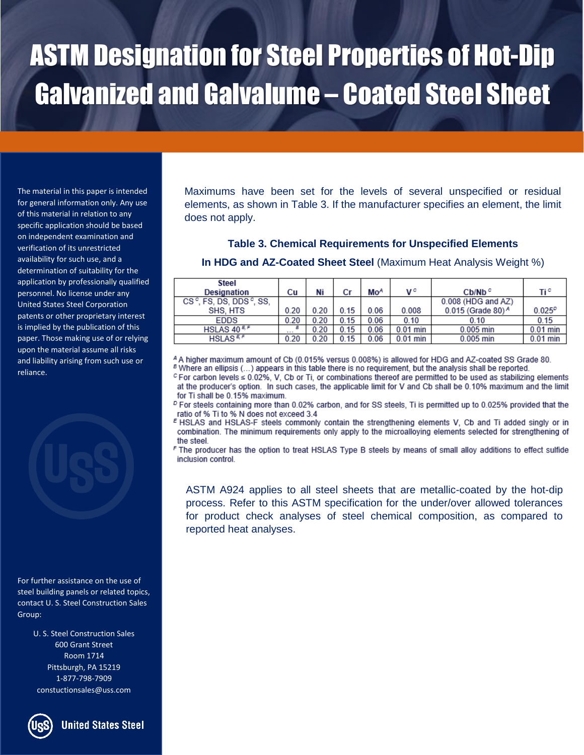The material in this paper is intended for general information only. Any use of this material in relation to any specific application should be based on independent examination and verification of its unrestricted availability for such use, and a determination of suitability for the application by professionally qualified personnel. No license under any United States Steel Corporation patents or other proprietary interest is implied by the publication of this paper. Those making use of or relying upon the material assume all risks and liability arising from such use or reliance.

For further assistance on the use of steel building panels or related topics, contact U. S. Steel Construction Sales Group:

> U. S. Steel Construction Sales 600 Grant Street Room 1714 Pittsburgh, PA 15219 1-877-798-7909 constuctionsales@uss.com



### **Table 3. Chemical Requirements for Unspecified Elements**

**In HDG and AZ-Coated Sheet Steel** (Maximum Heat Analysis Weight %)

| <b>Steel</b>                    |               |      |      |                 |            |                           |             |
|---------------------------------|---------------|------|------|-----------------|------------|---------------------------|-------------|
| <b>Designation</b>              | Сu            | Ni   | Cr   | Mo <sup>A</sup> | vσ         | $Cb/Nb^c$                 | Ti°         |
| $CS^c$ , FS, DS, DDS $^c$ , SS, |               |      |      |                 |            | 0.008 (HDG and AZ)        |             |
| SHS, HTS                        | 0.20          | 0.20 | 0.15 | 0.06            | 0.008      | $0.015$ (Grade 80) $^{A}$ | $0.025^{p}$ |
| <b>EDDS</b>                     | 0.20          | 0.20 | 0.15 | 0.06            | 0.10       | 0.10                      | 0.15        |
| HSLAS $40^{E,F}$                | в<br>$\cdots$ | 0.20 | 0.15 | 0.06            | $0.01$ min | $0.005$ min               | $0.01$ min  |
| HSLAS <sup>EF</sup>             | 0.20          | 0.20 | 0.15 | 0.06            | $0.01$ min | $0.005$ min               | $0.01$ min  |

4 A higher maximum amount of Cb (0.015% versus 0.008%) is allowed for HDG and AZ-coated SS Grade 80. <sup>8</sup> Where an ellipsis (...) appears in this table there is no requirement, but the analysis shall be reported.

 $c$  For carbon levels  $\leq 0.02\%$ , V, Cb or Ti, or combinations thereof are permitted to be used as stabilizing elements at the producer's option. In such cases, the applicable limit for V and Cb shall be 0.10% maximum and the limit for Ti shall be 0.15% maximum.

<sup>D</sup> For steels containing more than 0.02% carbon, and for SS steels, Ti is permitted up to 0.025% provided that the ratio of % Ti to % N does not exceed 3.4

FHSLAS and HSLAS-F steels commonly contain the strengthening elements V, Cb and Ti added singly or in combination. The minimum requirements only apply to the microalloying elements selected for strengthening of the steel

F The producer has the option to treat HSLAS Type B steels by means of small alloy additions to effect sulfide inclusion control.

ASTM A924 applies to all steel sheets that are metallic-coated by the hot-dip process. Refer to this ASTM specification for the under/over allowed tolerances for product check analyses of steel chemical composition, as compared to reported heat analyses.



**United States Steel**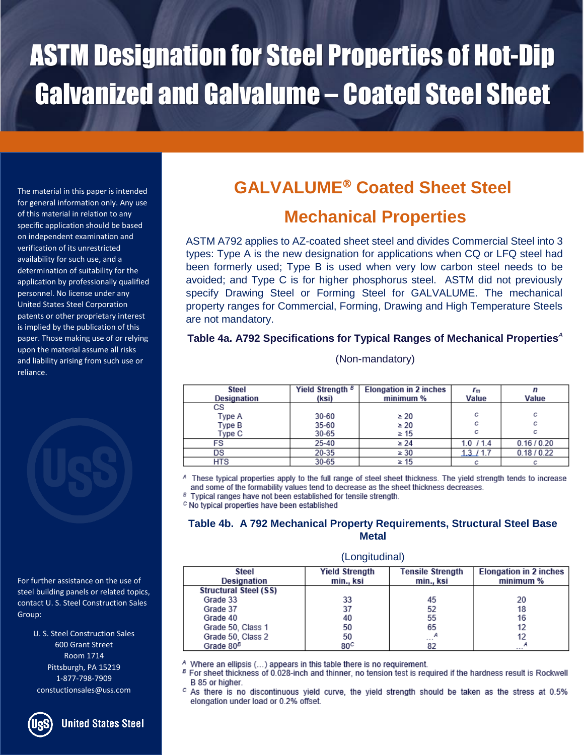The material in this paper is intended for general information only. Any use of this material in relation to any specific application should be based on independent examination and verification of its unrestricted availability for such use, and a determination of suitability for the application by professionally qualified personnel. No license under any United States Steel Corporation patents or other proprietary interest is implied by the publication of this paper. Those making use of or relying upon the material assume all risks and liability arising from such use or reliance.

For further assistance on the use of steel building panels or related topics, contact U. S. Steel Construction Sales Group:

> U. S. Steel Construction Sales 600 Grant Street Room 1714 Pittsburgh, PA 15219 1-877-798-7909 constuctionsales@uss.com

> > **United States Steel**

## **GALVALUME Coated Sheet Steel**

### **Mechanical Properties**

ASTM A792 applies to AZ-coated sheet steel and divides Commercial Steel into 3 types: Type A is the new designation for applications when CQ or LFQ steel had been formerly used; Type B is used when very low carbon steel needs to be avoided; and Type C is for higher phosphorus steel. ASTM did not previously specify Drawing Steel or Forming Steel for GALVALUME. The mechanical property ranges for Commercial, Forming, Drawing and High Temperature Steels are not mandatory.

### **Table 4a. A792 Specifications for Typical Ranges of Mechanical Properties***<sup>A</sup>*

(Non-mandatory)

| <b>Steel</b><br>Designation | Yield Strength <sup>B</sup><br>(ksi) | <b>Elongation in 2 inches</b><br>minimum % | r <sub>m</sub><br>Value | n<br>Value  |
|-----------------------------|--------------------------------------|--------------------------------------------|-------------------------|-------------|
| СS                          |                                      |                                            |                         |             |
| Type A                      | $30 - 60$                            | $\geq 20$                                  | с                       | с           |
| Type B                      | $35 - 60$                            | $\geq 20$                                  | с                       | с           |
| Type C                      | $30 - 65$                            | $\geq 15$                                  | с                       | с           |
| FS                          | $25 - 40$                            | $\geq 24$                                  | $1.0$ / $1.4$           | 0.16/0.20   |
| DS                          | 20-35                                | $\geq 30$                                  | $1.3$ $1.7$             | 0.18 / 0.22 |
| HTS                         | 30-65                                | $\geq 15$                                  |                         |             |

A These typical properties apply to the full range of steel sheet thickness. The yield strength tends to increase and some of the formability values tend to decrease as the sheet thickness decreases.

<sup>8</sup> Typical ranges have not been established for tensile strength.

c No typical properties have been established

### **Table 4b. A 792 Mechanical Property Requirements, Structural Steel Base Metal**

#### (Longitudinal)

| Steel<br><b>Designation</b>  | <b>Yield Strength</b><br>min., ksi | <b>Tensile Strength</b><br>min., ksi | <b>Elongation in 2 inches</b><br>minimum % |
|------------------------------|------------------------------------|--------------------------------------|--------------------------------------------|
| <b>Structural Steel (SS)</b> |                                    |                                      |                                            |
| Grade 33                     | 33                                 | 45                                   | 20                                         |
| Grade 37                     | 37                                 | 52                                   | 18                                         |
| Grade 40                     | 40                                 | 55                                   | 16                                         |
| Grade 50, Class 1            | 50                                 | 65                                   |                                            |
| Grade 50, Class 2            | 50                                 | А<br>$\sim$ $\sim$ $\sim$            |                                            |
| Grade $80B$                  | 80°                                | 82                                   | А<br>$\sim$ $\sim$ $\sim$                  |

A Where an ellipsis (...) appears in this table there is no requirement. В

For sheet thickness of 0.028-inch and thinner, no tension test is required if the hardness result is Rockwell B 85 or higher.

<sup>c</sup> As there is no discontinuous yield curve, the yield strength should be taken as the stress at 0.5% elongation under load or 0.2% offset.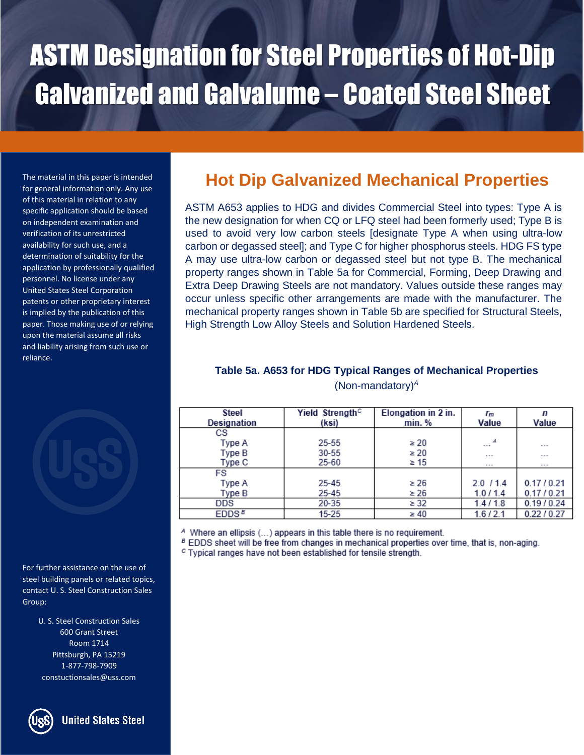The material in this paper is intended for general information only. Any use of this material in relation to any specific application should be based on independent examination and verification of its unrestricted availability for such use, and a determination of suitability for the application by professionally qualified personnel. No license under any United States Steel Corporation patents or other proprietary interest is implied by the publication of this paper. Those making use of or relying upon the material assume all risks and liability arising from such use or reliance.



For further assistance on the use of steel building panels or related topics, contact U. S. Steel Construction Sales Group:

> U. S. Steel Construction Sales 600 Grant Street Room 1714 Pittsburgh, PA 15219 1-877-798-7909 constuctionsales@uss.com

### **United States Steel**

## **Hot Dip Galvanized Mechanical Properties**

ASTM A653 applies to HDG and divides Commercial Steel into types: Type A is the new designation for when CQ or LFQ steel had been formerly used; Type B is used to avoid very low carbon steels [designate Type A when using ultra-low carbon or degassed steel]; and Type C for higher phosphorus steels. HDG FS type A may use ultra-low carbon or degassed steel but not type B. The mechanical property ranges shown in Table 5a for Commercial, Forming, Deep Drawing and Extra Deep Drawing Steels are not mandatory. Values outside these ranges may occur unless specific other arrangements are made with the manufacturer. The mechanical property ranges shown in Table 5b are specified for Structural Steels, High Strength Low Alloy Steels and Solution Hardened Steels.

### **Table 5a. A653 for HDG Typical Ranges of Mechanical Properties** (Non-mandatory)*<sup>A</sup>*

| <b>Steel</b><br><b>Designation</b> | Yield Strength <sup>c</sup><br>(ksi) | Elongation in 2 in.<br>min.% | r <sub>m</sub><br>Value   | n<br>Value           |
|------------------------------------|--------------------------------------|------------------------------|---------------------------|----------------------|
| СS                                 |                                      |                              |                           |                      |
| Type A                             | $25 - 55$                            | $\geq 20$                    | л<br>$\sim$ $\sim$ $\sim$ | $\sim$ $\sim$ $\sim$ |
| Type B                             | $30 - 55$                            | $\geq 20$                    | $\cdots$                  | $\sim$ $-$           |
| Type C                             | 25-60                                | $\geq 15$                    | $\sim$ $-$                | $\sim$ $\sim$ $\sim$ |
| <b>FS</b>                          |                                      |                              |                           |                      |
| Type A                             | 25-45                                | $\geq 26$                    | $2.0$ / 1.4               | 0.17/0.21            |
| Type B                             | 25-45                                | $\geq 26$                    | 1.0/1.4                   | 0.17/0.21            |
| <b>DDS</b>                         | 20-35                                | $\geq 32$                    | 1.4/1.8                   | 0.19 / 0.24          |
| EDDS <sup>B</sup>                  | $15 - 25$                            | $\geq 40$                    | 1.6/2.1                   | 0.22 / 0.27          |

<sup>A</sup> Where an ellipsis (...) appears in this table there is no requirement.

<sup>B</sup> EDDS sheet will be free from changes in mechanical properties over time, that is, non-aging.

<sup>c</sup> Typical ranges have not been established for tensile strength.